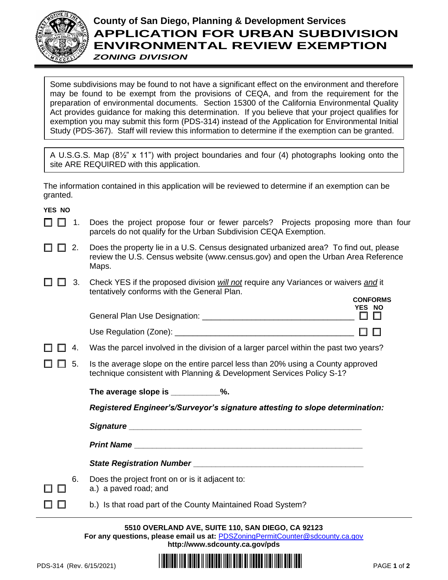

## **County of San Diego, Planning & Development Services APPLICATION FOR URBAN SUBDIVISION ENVIRONMENTAL REVIEW EXEMPTION** *ZONING DIVISION*

Some subdivisions may be found to not have a significant effect on the environment and therefore may be found to be exempt from the provisions of CEQA, and from the requirement for the preparation of environmental documents. Section 15300 of the California Environmental Quality Act provides guidance for making this determination. If you believe that your project qualifies for exemption you may submit this form (PDS-314) instead of the Application for Environmental Initial Study (PDS-367). Staff will review this information to determine if the exemption can be granted.

A U.S.G.S. Map (8½" x 11") with project boundaries and four (4) photographs looking onto the site ARE REQUIRED with this application.

The information contained in this application will be reviewed to determine if an exemption can be granted.

**YES NO**

- $\Box$  1. Does the project propose four or fewer parcels? Projects proposing more than four parcels do not qualify for the Urban Subdivision CEQA Exemption.
- $\Box$   $\Box$  2. Does the property lie in a U.S. Census designated urbanized area? To find out, please review the U.S. Census website [\(www.census.gov\)](http://www.census.gov/) and open the Urban Area Reference Maps.
- 3. Check YES if the proposed division *will not* require any Variances or waivers *and* it tentatively conforms with the General Plan. **CONFORMS**

| General Plan Use Designation: | YES NO |  |
|-------------------------------|--------|--|
| Use Regulation (Zone):        |        |  |

- $\Box$   $\Box$  4. Was the parcel involved in the division of a larger parcel within the past two years?
- $\Box$   $\Box$  5. Is the average slope on the entire parcel less than 20% using a County approved technique consistent with Planning & Development Services Policy S-1?

The average slope is \_\_\_\_\_\_\_\_\_\_\_\_%.

*Registered Engineer's/Surveyor's signature attesting to slope determination:*

*Signature* **\_\_\_\_\_\_\_\_\_\_\_\_\_\_\_\_\_\_\_\_\_\_\_\_\_\_\_\_\_\_\_\_\_\_\_\_\_\_\_\_\_\_\_\_\_\_\_\_\_\_\_\_**

*Print Name* **\_\_\_\_\_\_\_\_\_\_\_\_\_\_\_\_\_\_\_\_\_\_\_\_\_\_\_\_\_\_\_\_\_\_\_\_\_\_\_\_\_\_\_\_\_\_\_\_\_\_\_**

*State Registration Number* **\_\_\_\_\_\_\_\_\_\_\_\_\_\_\_\_\_\_\_\_\_\_\_\_\_\_\_\_\_\_\_\_\_\_\_\_\_\_**

- 6. Does the project front on or is it adjacent to:
	- a.) a paved road; and
	- b.) Is that road part of the County Maintained Road System?

**5510 OVERLAND AVE, SUITE 110, SAN DIEGO, CA 92123 For any questions, please email us at:** [PDSZoningPermitCounter@sdcounty.ca.gov](mailto:PDSZoningPermitCounter@sdcounty.ca.gov) **<http://www.sdcounty.ca.gov/pds>**



пп

 $\Box$   $\Box$